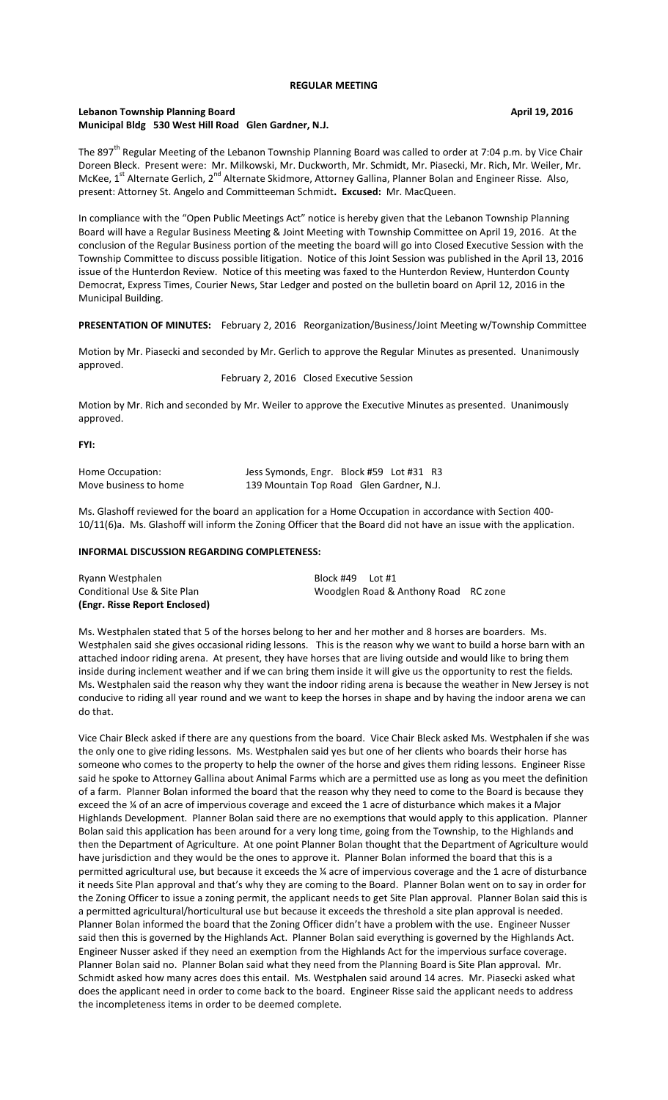## **Lebanon Township Planning Board April 19, 2016 Municipal Bldg 530 West Hill Road Glen Gardner, N.J.**

The 897<sup>th</sup> Regular Meeting of the Lebanon Township Planning Board was called to order at 7:04 p.m. by Vice Chair Doreen Bleck. Present were: Mr. Milkowski, Mr. Duckworth, Mr. Schmidt, Mr. Piasecki, Mr. Rich, Mr. Weiler, Mr. McKee, 1<sup>st</sup> Alternate Gerlich, 2<sup>nd</sup> Alternate Skidmore, Attorney Gallina, Planner Bolan and Engineer Risse. Also, present: Attorney St. Angelo and Committeeman Schmidt**. Excused:** Mr. MacQueen.

In compliance with the "Open Public Meetings Act" notice is hereby given that the Lebanon Township Planning Board will have a Regular Business Meeting & Joint Meeting with Township Committee on April 19, 2016. At the conclusion of the Regular Business portion of the meeting the board will go into Closed Executive Session with the Township Committee to discuss possible litigation. Notice of this Joint Session was published in the April 13, 2016 issue of the Hunterdon Review. Notice of this meeting was faxed to the Hunterdon Review, Hunterdon County Democrat, Express Times, Courier News, Star Ledger and posted on the bulletin board on April 12, 2016 in the Municipal Building.

**PRESENTATION OF MINUTES:** February 2, 2016 Reorganization/Business/Joint Meeting w/Township Committee

Motion by Mr. Piasecki and seconded by Mr. Gerlich to approve the Regular Minutes as presented. Unanimously approved.

February 2, 2016 Closed Executive Session

Motion by Mr. Rich and seconded by Mr. Weiler to approve the Executive Minutes as presented. Unanimously approved.

#### **FYI:**

| Home Occupation:      | Jess Symonds, Engr. Block #59 Lot #31 R3 |  |  |
|-----------------------|------------------------------------------|--|--|
| Move business to home | 139 Mountain Top Road Glen Gardner, N.J. |  |  |

Ms. Glashoff reviewed for the board an application for a Home Occupation in accordance with Section 400- 10/11(6)a. Ms. Glashoff will inform the Zoning Officer that the Board did not have an issue with the application.

## **INFORMAL DISCUSSION REGARDING COMPLETENESS:**

| (Engr. Risse Report Enclosed) |                                      |  |
|-------------------------------|--------------------------------------|--|
| Conditional Use & Site Plan   | Woodglen Road & Anthony Road RC zone |  |
| Ryann Westphalen              | Block #49<br>Lot #1                  |  |

Ms. Westphalen stated that 5 of the horses belong to her and her mother and 8 horses are boarders. Ms. Westphalen said she gives occasional riding lessons. This is the reason why we want to build a horse barn with an attached indoor riding arena. At present, they have horses that are living outside and would like to bring them inside during inclement weather and if we can bring them inside it will give us the opportunity to rest the fields. Ms. Westphalen said the reason why they want the indoor riding arena is because the weather in New Jersey is not conducive to riding all year round and we want to keep the horses in shape and by having the indoor arena we can do that.

Vice Chair Bleck asked if there are any questions from the board. Vice Chair Bleck asked Ms. Westphalen if she was the only one to give riding lessons. Ms. Westphalen said yes but one of her clients who boards their horse has someone who comes to the property to help the owner of the horse and gives them riding lessons. Engineer Risse said he spoke to Attorney Gallina about Animal Farms which are a permitted use as long as you meet the definition of a farm. Planner Bolan informed the board that the reason why they need to come to the Board is because they exceed the ¼ of an acre of impervious coverage and exceed the 1 acre of disturbance which makes it a Major Highlands Development. Planner Bolan said there are no exemptions that would apply to this application. Planner Bolan said this application has been around for a very long time, going from the Township, to the Highlands and then the Department of Agriculture. At one point Planner Bolan thought that the Department of Agriculture would have jurisdiction and they would be the ones to approve it. Planner Bolan informed the board that this is a permitted agricultural use, but because it exceeds the ¼ acre of impervious coverage and the 1 acre of disturbance it needs Site Plan approval and that's why they are coming to the Board. Planner Bolan went on to say in order for the Zoning Officer to issue a zoning permit, the applicant needs to get Site Plan approval. Planner Bolan said this is a permitted agricultural/horticultural use but because it exceeds the threshold a site plan approval is needed. Planner Bolan informed the board that the Zoning Officer didn't have a problem with the use. Engineer Nusser said then this is governed by the Highlands Act. Planner Bolan said everything is governed by the Highlands Act. Engineer Nusser asked if they need an exemption from the Highlands Act for the impervious surface coverage. Planner Bolan said no. Planner Bolan said what they need from the Planning Board is Site Plan approval. Mr. Schmidt asked how many acres does this entail. Ms. Westphalen said around 14 acres. Mr. Piasecki asked what does the applicant need in order to come back to the board. Engineer Risse said the applicant needs to address the incompleteness items in order to be deemed complete.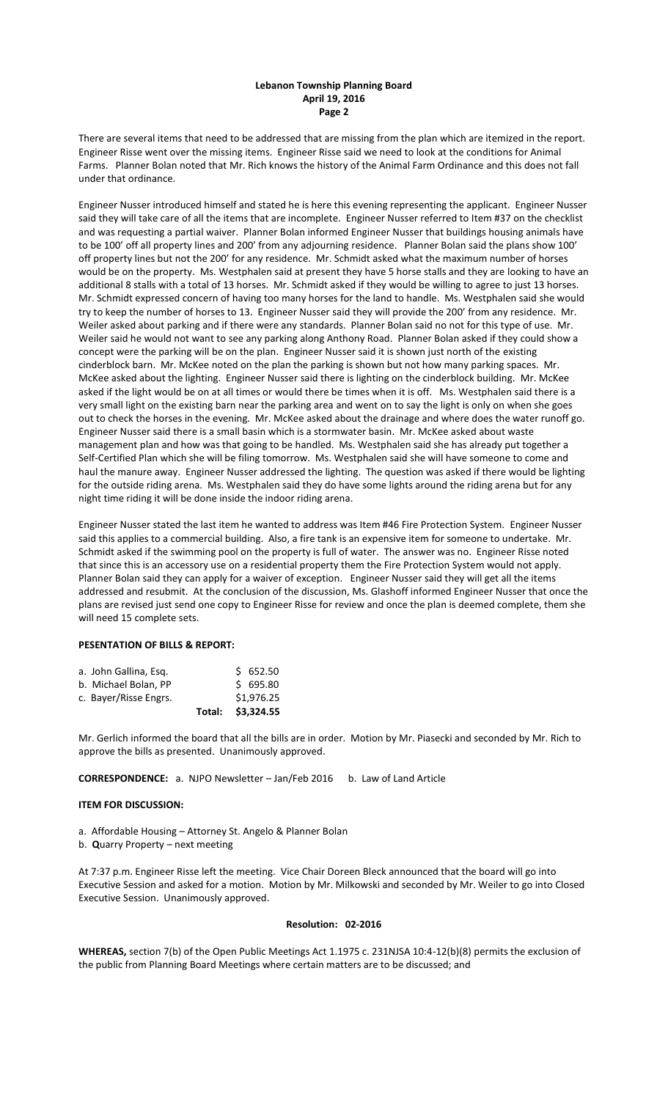## **Lebanon Township Planning Board April 19, 2016 Page 2**

There are several items that need to be addressed that are missing from the plan which are itemized in the report. Engineer Risse went over the missing items. Engineer Risse said we need to look at the conditions for Animal Farms. Planner Bolan noted that Mr. Rich knows the history of the Animal Farm Ordinance and this does not fall under that ordinance.

Engineer Nusser introduced himself and stated he is here this evening representing the applicant. Engineer Nusser said they will take care of all the items that are incomplete. Engineer Nusser referred to Item #37 on the checklist and was requesting a partial waiver. Planner Bolan informed Engineer Nusser that buildings housing animals have to be 100' off all property lines and 200' from any adjourning residence. Planner Bolan said the plans show 100' off property lines but not the 200' for any residence. Mr. Schmidt asked what the maximum number of horses would be on the property. Ms. Westphalen said at present they have 5 horse stalls and they are looking to have an additional 8 stalls with a total of 13 horses. Mr. Schmidt asked if they would be willing to agree to just 13 horses. Mr. Schmidt expressed concern of having too many horses for the land to handle. Ms. Westphalen said she would try to keep the number of horses to 13. Engineer Nusser said they will provide the 200' from any residence. Mr. Weiler asked about parking and if there were any standards. Planner Bolan said no not for this type of use. Mr. Weiler said he would not want to see any parking along Anthony Road. Planner Bolan asked if they could show a concept were the parking will be on the plan. Engineer Nusser said it is shown just north of the existing cinderblock barn. Mr. McKee noted on the plan the parking is shown but not how many parking spaces. Mr. McKee asked about the lighting. Engineer Nusser said there is lighting on the cinderblock building. Mr. McKee asked if the light would be on at all times or would there be times when it is off. Ms. Westphalen said there is a very small light on the existing barn near the parking area and went on to say the light is only on when she goes out to check the horses in the evening. Mr. McKee asked about the drainage and where does the water runoff go. Engineer Nusser said there is a small basin which is a stormwater basin. Mr. McKee asked about waste management plan and how was that going to be handled. Ms. Westphalen said she has already put together a Self-Certified Plan which she will be filing tomorrow. Ms. Westphalen said she will have someone to come and haul the manure away. Engineer Nusser addressed the lighting. The question was asked if there would be lighting for the outside riding arena. Ms. Westphalen said they do have some lights around the riding arena but for any night time riding it will be done inside the indoor riding arena.

Engineer Nusser stated the last item he wanted to address was Item #46 Fire Protection System. Engineer Nusser said this applies to a commercial building. Also, a fire tank is an expensive item for someone to undertake. Mr. Schmidt asked if the swimming pool on the property is full of water. The answer was no. Engineer Risse noted that since this is an accessory use on a residential property them the Fire Protection System would not apply. Planner Bolan said they can apply for a waiver of exception. Engineer Nusser said they will get all the items addressed and resubmit. At the conclusion of the discussion, Ms. Glashoff informed Engineer Nusser that once the plans are revised just send one copy to Engineer Risse for review and once the plan is deemed complete, them she will need 15 complete sets.

## **PESENTATION OF BILLS & REPORT:**

|                       |  | Total: \$3,324.55 |
|-----------------------|--|-------------------|
| c. Bayer/Risse Engrs. |  | \$1,976.25        |
| b. Michael Bolan, PP  |  | \$695.80          |
| a. John Gallina, Esg. |  | \$652.50          |

Mr. Gerlich informed the board that all the bills are in order. Motion by Mr. Piasecki and seconded by Mr. Rich to approve the bills as presented. Unanimously approved.

**CORRESPONDENCE:** a. NJPO Newsletter – Jan/Feb 2016 b. Law of Land Article

#### **ITEM FOR DISCUSSION:**

- a. Affordable Housing Attorney St. Angelo & Planner Bolan
- b. **Q**uarry Property next meeting

At 7:37 p.m. Engineer Risse left the meeting. Vice Chair Doreen Bleck announced that the board will go into Executive Session and asked for a motion. Motion by Mr. Milkowski and seconded by Mr. Weiler to go into Closed Executive Session. Unanimously approved.

### **Resolution: 02-2016**

**WHEREAS,** section 7(b) of the Open Public Meetings Act 1.1975 c. 231NJSA 10:4-12(b)(8) permits the exclusion of the public from Planning Board Meetings where certain matters are to be discussed; and